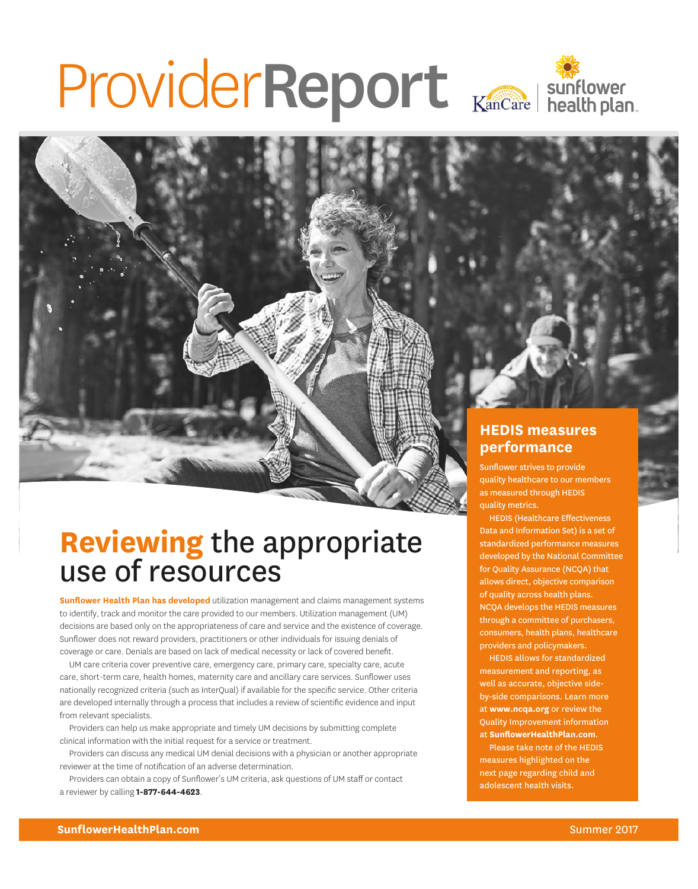# ProviderReport Kancare | sunflower

# **Reviewing** the appropriate use of resources

**Sunflower Health Plan has developed** utilization management and claims management systems to identify, track and monitor the care provided to our members. Utilization management (UM) decisions are based only on the appropriateness of care and service and the existence of coverage. Sunflower does not reward providers, practitioners or other individuals for issuing denials of coverage or care. Denials are based on lack of medical necessity or lack of covered benefit.

UM care criteria cover preventive care, emergency care, primary care, specialty care, acute care, short-term care, health homes, maternity care and ancillary care services. Sunflower uses nationally recognized criteria (such as InterQual) if available for the specific service. Other criteria are developed internally through a process that includes a review of scientific evidence and input from relevant specialists.

Providers can help us make appropriate and timely UM decisions by submitting complete clinical information with the initial request for a service or treatment.

Providers can discuss any medical UM denial decisions with a physician or another appropriate reviewer at the time of notification of an adverse determination.

Providers can obtain a copy of Sunflower's UM criteria, ask questions of UM staff or contact a reviewer by calling **1-877-644-4623**.

### **HEDIS measures performance**

Sunflower strives to provide quality healthcare to our members as measured through HEDIS quality metrics.

HEDIS (Healthcare Effectiveness Data and Information Set) is a set of standardized performance measures developed by the National Committee for Quality Assurance (NCQA) that allows direct, objective comparison of quality across health plans. NCQA develops the HEDIS measures through a committee of purchasers, consumers, health plans, healthcare providers and policymakers.

HEDIS allows for standardized measurement and reporting, as well as accurate, objective sideby-side comparisons. Learn more at **www.ncqa.org** or review the Quality Improvement information at **SunflowerHealthPlan.com**.

Please take note of the HEDIS measures highlighted on the next page regarding child and adolescent health visits.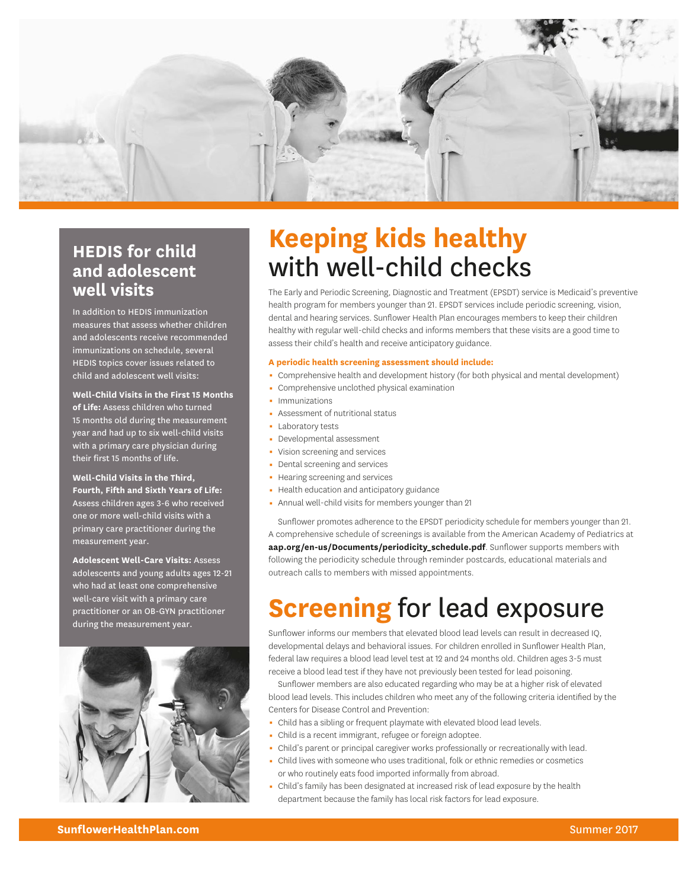

## **HEDIS for child and adolescent well visits**

In addition to HEDIS immunization measures that assess whether children and adolescents receive recommended immunizations on schedule, several HEDIS topics cover issues related to child and adolescent well visits:

**Well-Child Visits in the First 15 Months of Life:** Assess children who turned 15 months old during the measurement year and had up to six well-child visits with a primary care physician during their first 15 months of life.

**Well-Child Visits in the Third, Fourth, Fifth and Sixth Years of Life:**  Assess children ages 3-6 who received one or more well-child visits with a primary care practitioner during the measurement year.

**Adolescent Well-Care Visits:** Assess adolescents and young adults ages 12-21 who had at least one comprehensive well-care visit with a primary care practitioner or an OB-GYN practitioner during the measurement year.



# **Keeping kids healthy** with well-child checks

The Early and Periodic Screening, Diagnostic and Treatment (EPSDT) service is Medicaid's preventive health program for members younger than 21. EPSDT services include periodic screening, vision, dental and hearing services. Sunflower Health Plan encourages members to keep their children healthy with regular well-child checks and informs members that these visits are a good time to assess their child's health and receive anticipatory guidance.

#### **A periodic health screening assessment should include:**

- Comprehensive health and development history (for both physical and mental development)
- 0 Comprehensive unclothed physical examination
- Immunizations
- **Assessment of nutritional status**
- **Laboratory tests**
- Developmental assessment
- Vision screening and services
- Dental screening and services
- Hearing screening and services
- Health education and anticipatory guidance
- Annual well-child visits for members younger than 21

Sunflower promotes adherence to the EPSDT periodicity schedule for members younger than 21. A comprehensive schedule of screenings is available from the American Academy of Pediatrics at **[aap.org/en-us/Documents/periodicity\\_schedule.pdf](https://www.aap.org/en-us/Documents/periodicity_schedule.pdf)**. Sunflower supports members with following the periodicity schedule through reminder postcards, educational materials and outreach calls to members with missed appointments.

# **Screening** for lead exposure

Sunflower informs our members that elevated blood lead levels can result in decreased IQ, developmental delays and behavioral issues. For children enrolled in Sunflower Health Plan, federal law requires a blood lead level test at 12 and 24 months old. Children ages 3-5 must receive a blood lead test if they have not previously been tested for lead poisoning.

Sunflower members are also educated regarding who may be at a higher risk of elevated blood lead levels. This includes children who meet any of the following criteria identified by the Centers for Disease Control and Prevention:

- Child has a sibling or frequent playmate with elevated blood lead levels.
- Child is a recent immigrant, refugee or foreign adoptee.
- Child's parent or principal caregiver works professionally or recreationally with lead.
- 0 Child lives with someone who uses traditional, folk or ethnic remedies or cosmetics or who routinely eats food imported informally from abroad.
- Child's family has been designated at increased risk of lead exposure by the health department because the family has local risk factors for lead exposure.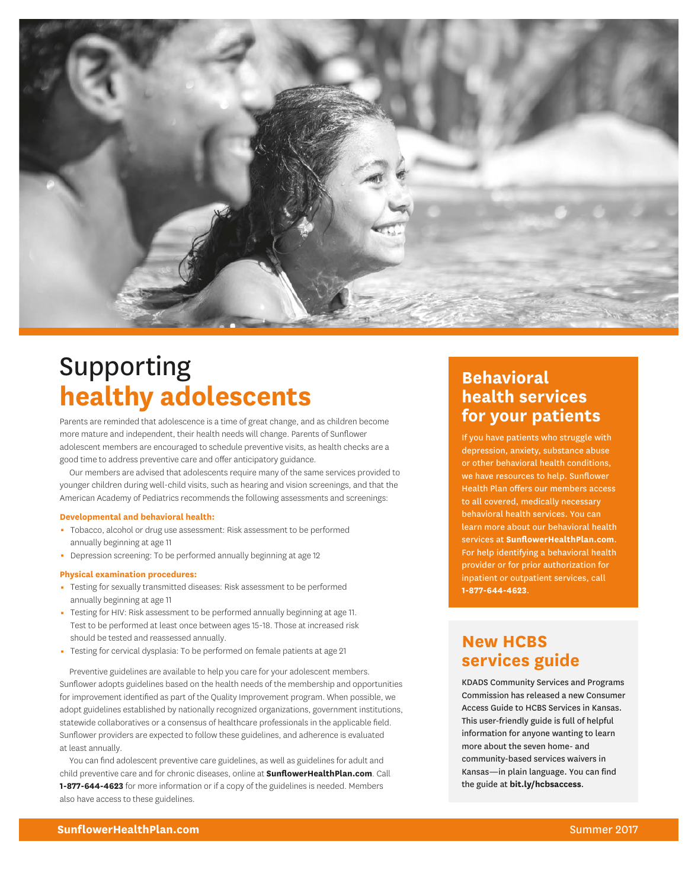

# Supporting **healthy adolescents**

Parents are reminded that adolescence is a time of great change, and as children become more mature and independent, their health needs will change. Parents of Sunflower adolescent members are encouraged to schedule preventive visits, as health checks are a good time to address preventive care and offer anticipatory guidance.

Our members are advised that adolescents require many of the same services provided to younger children during well-child visits, such as hearing and vision screenings, and that the American Academy of Pediatrics recommends the following assessments and screenings:

#### **Developmental and behavioral health:**

- $-$  Tobacco, alcohol or drug use assessment: Risk assessment to be performed annually beginning at age 11
- Depression screening: To be performed annually beginning at age 12

#### **Physical examination procedures:**

- 0 Testing for sexually transmitted diseases: Risk assessment to be performed annually beginning at age 11
- 0 Testing for HIV: Risk assessment to be performed annually beginning at age 11. Test to be performed at least once between ages 15-18. Those at increased risk should be tested and reassessed annually.
- Testing for cervical dysplasia: To be performed on female patients at age 21

Preventive guidelines are available to help you care for your adolescent members. Sunflower adopts guidelines based on the health needs of the membership and opportunities for improvement identified as part of the Quality Improvement program. When possible, we adopt guidelines established by nationally recognized organizations, government institutions, statewide collaboratives or a consensus of healthcare professionals in the applicable field. Sunflower providers are expected to follow these guidelines, and adherence is evaluated at least annually.

You can find adolescent preventive care guidelines, as well as guidelines for adult and child preventive care and for chronic diseases, online at **[SunflowerHealthPlan.com](https://www.sunflowerhealthplan.com/)**. Call **1-877-644-4623** for more information or if a copy of the guidelines is needed. Members also have access to these guidelines.

## **Behavioral health services for your patients**

If you have patients who struggle with depression, anxiety, substance abuse or other behavioral health conditions, we have resources to help. Sunflower Health Plan offers our members access to all covered, medically necessary behavioral health services. You can learn more about our behavioral health services at **[SunflowerHealthPlan.com](https://www.sunflowerhealthplan.com/)**. For help identifying a behavioral health provider or for prior authorization for inpatient or outpatient services, call **1-877-644-4623**.

## **New HCBS services guide**

KDADS Community Services and Programs Commission has released a new Consumer Access Guide to HCBS Services in Kansas. This user-friendly guide is full of helpful information for anyone wanting to learn more about the seven home- and community-based services waivers in Kansas—in plain language. You can find the guide at **[bit.ly/hcbsaccess](https://www.kdads.ks.gov/docs/default-source/CSP/HCBS/Access-Guide/consumer-access-guide-to-hcbs-services-in-kansas.pdf?sfvrsn=2)**.